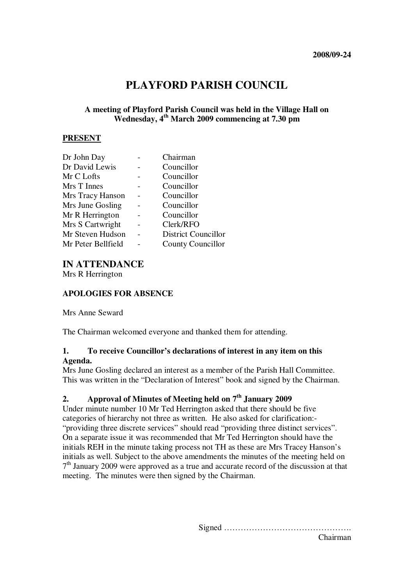# **PLAYFORD PARISH COUNCIL**

#### **A meeting of Playford Parish Council was held in the Village Hall on Wednesday, 4th March 2009 commencing at 7.30 pm**

#### **PRESENT**

| Dr John Day        | Chairman                   |
|--------------------|----------------------------|
| Dr David Lewis     | Councillor                 |
| Mr C Lofts         | Councillor                 |
| Mrs T Innes        | Councillor                 |
| Mrs Tracy Hanson   | Councillor                 |
| Mrs June Gosling   | Councillor                 |
| Mr R Herrington    | Councillor                 |
| Mrs S Cartwright   | Clerk/RFO                  |
| Mr Steven Hudson   | <b>District Councillor</b> |
| Mr Peter Bellfield | <b>County Councillor</b>   |

# **IN ATTENDANCE**

Mrs R Herrington

#### **APOLOGIES FOR ABSENCE**

Mrs Anne Seward

The Chairman welcomed everyone and thanked them for attending.

## **1. To receive Councillor's declarations of interest in any item on this Agenda.**

Mrs June Gosling declared an interest as a member of the Parish Hall Committee. This was written in the "Declaration of Interest" book and signed by the Chairman.

# **2. Approval of Minutes of Meeting held on 7th January 2009**

Under minute number 10 Mr Ted Herrington asked that there should be five categories of hierarchy not three as written. He also asked for clarification:- "providing three discrete services" should read "providing three distinct services". On a separate issue it was recommended that Mr Ted Herrington should have the initials REH in the minute taking process not TH as these are Mrs Tracey Hanson's initials as well. Subject to the above amendments the minutes of the meeting held on 7<sup>th</sup> January 2009 were approved as a true and accurate record of the discussion at that meeting. The minutes were then signed by the Chairman.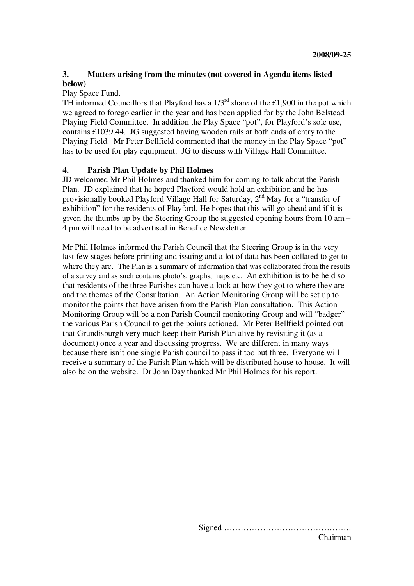## **3. Matters arising from the minutes (not covered in Agenda items listed below)**

#### Play Space Fund.

TH informed Councillors that Playford has a  $1/3^{rd}$  share of the £1,900 in the pot which we agreed to forego earlier in the year and has been applied for by the John Belstead Playing Field Committee. In addition the Play Space "pot", for Playford's sole use, contains £1039.44. JG suggested having wooden rails at both ends of entry to the Playing Field. Mr Peter Bellfield commented that the money in the Play Space "pot" has to be used for play equipment. JG to discuss with Village Hall Committee.

#### **4. Parish Plan Update by Phil Holmes**

JD welcomed Mr Phil Holmes and thanked him for coming to talk about the Parish Plan. JD explained that he hoped Playford would hold an exhibition and he has provisionally booked Playford Village Hall for Saturday, 2nd May for a "transfer of exhibition" for the residents of Playford. He hopes that this will go ahead and if it is given the thumbs up by the Steering Group the suggested opening hours from 10 am – 4 pm will need to be advertised in Benefice Newsletter.

Mr Phil Holmes informed the Parish Council that the Steering Group is in the very last few stages before printing and issuing and a lot of data has been collated to get to where they are. The Plan is a summary of information that was collaborated from the results of a survey and as such contains photo's, graphs, maps etc. An exhibition is to be held so that residents of the three Parishes can have a look at how they got to where they are and the themes of the Consultation. An Action Monitoring Group will be set up to monitor the points that have arisen from the Parish Plan consultation. This Action Monitoring Group will be a non Parish Council monitoring Group and will "badger" the various Parish Council to get the points actioned. Mr Peter Bellfield pointed out that Grundisburgh very much keep their Parish Plan alive by revisiting it (as a document) once a year and discussing progress. We are different in many ways because there isn't one single Parish council to pass it too but three. Everyone will receive a summary of the Parish Plan which will be distributed house to house. It will also be on the website. Dr John Day thanked Mr Phil Holmes for his report.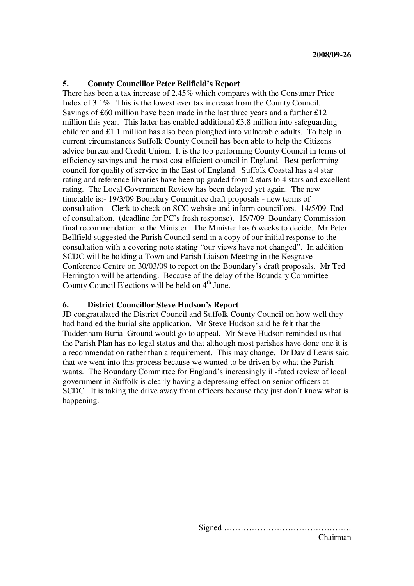#### **5. County Councillor Peter Bellfield's Report**

There has been a tax increase of 2.45% which compares with the Consumer Price Index of 3.1%. This is the lowest ever tax increase from the County Council. Savings of £60 million have been made in the last three years and a further £12 million this year. This latter has enabled additional £3.8 million into safeguarding children and £1.1 million has also been ploughed into vulnerable adults. To help in current circumstances Suffolk County Council has been able to help the Citizens advice bureau and Credit Union. It is the top performing County Council in terms of efficiency savings and the most cost efficient council in England. Best performing council for quality of service in the East of England. Suffolk Coastal has a 4 star rating and reference libraries have been up graded from 2 stars to 4 stars and excellent rating. The Local Government Review has been delayed yet again. The new timetable is:- 19/3/09 Boundary Committee draft proposals - new terms of consultation – Clerk to check on SCC website and inform councillors. 14/5/09 End of consultation. (deadline for PC's fresh response). 15/7/09 Boundary Commission final recommendation to the Minister. The Minister has 6 weeks to decide. Mr Peter Bellfield suggested the Parish Council send in a copy of our initial response to the consultation with a covering note stating "our views have not changed". In addition SCDC will be holding a Town and Parish Liaison Meeting in the Kesgrave Conference Centre on 30/03/09 to report on the Boundary's draft proposals. Mr Ted Herrington will be attending. Because of the delay of the Boundary Committee County Council Elections will be held on 4<sup>th</sup> June.

#### **6. District Councillor Steve Hudson's Report**

JD congratulated the District Council and Suffolk County Council on how well they had handled the burial site application. Mr Steve Hudson said he felt that the Tuddenham Burial Ground would go to appeal. Mr Steve Hudson reminded us that the Parish Plan has no legal status and that although most parishes have done one it is a recommendation rather than a requirement. This may change. Dr David Lewis said that we went into this process because we wanted to be driven by what the Parish wants. The Boundary Committee for England's increasingly ill-fated review of local government in Suffolk is clearly having a depressing effect on senior officers at SCDC. It is taking the drive away from officers because they just don't know what is happening.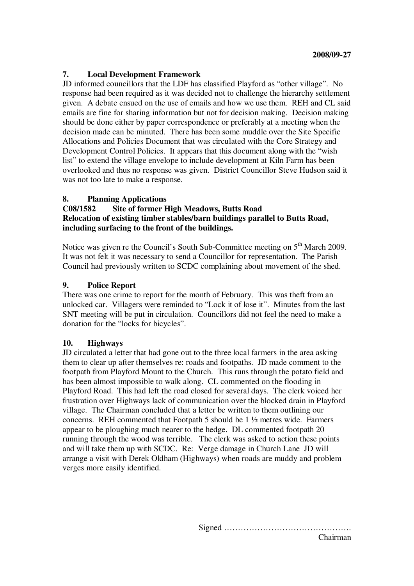## **7. Local Development Framework**

JD informed councillors that the LDF has classified Playford as "other village". No response had been required as it was decided not to challenge the hierarchy settlement given. A debate ensued on the use of emails and how we use them. REH and CL said emails are fine for sharing information but not for decision making. Decision making should be done either by paper correspondence or preferably at a meeting when the decision made can be minuted. There has been some muddle over the Site Specific Allocations and Policies Document that was circulated with the Core Strategy and Development Control Policies. It appears that this document along with the "wish list" to extend the village envelope to include development at Kiln Farm has been overlooked and thus no response was given. District Councillor Steve Hudson said it was not too late to make a response.

## **8. Planning Applications**

#### **C08/1582 Site of former High Meadows, Butts Road Relocation of existing timber stables/barn buildings parallel to Butts Road, including surfacing to the front of the buildings.**

Notice was given re the Council's South Sub-Committee meeting on 5<sup>th</sup> March 2009. It was not felt it was necessary to send a Councillor for representation. The Parish Council had previously written to SCDC complaining about movement of the shed.

## **9. Police Report**

There was one crime to report for the month of February. This was theft from an unlocked car. Villagers were reminded to "Lock it of lose it". Minutes from the last SNT meeting will be put in circulation. Councillors did not feel the need to make a donation for the "locks for bicycles".

## **10. Highways**

JD circulated a letter that had gone out to the three local farmers in the area asking them to clear up after themselves re: roads and footpaths. JD made comment to the footpath from Playford Mount to the Church. This runs through the potato field and has been almost impossible to walk along. CL commented on the flooding in Playford Road. This had left the road closed for several days. The clerk voiced her frustration over Highways lack of communication over the blocked drain in Playford village. The Chairman concluded that a letter be written to them outlining our concerns. REH commented that Footpath 5 should be 1 ½ metres wide. Farmers appear to be ploughing much nearer to the hedge. DL commented footpath 20 running through the wood was terrible. The clerk was asked to action these points and will take them up with SCDC. Re: Verge damage in Church Lane JD will arrange a visit with Derek Oldham (Highways) when roads are muddy and problem verges more easily identified.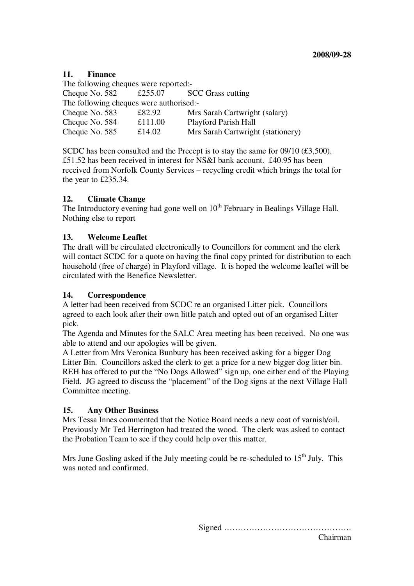## **11. Finance**

The following cheques were reported:- Cheque No. 582  $\text{\textsterling}255.07$  SCC Grass cutting The following cheques were authorised:- Cheque No. 583 £82.92 Mrs Sarah Cartwright (salary) Cheque No. 584 £111.00 Playford Parish Hall Cheque No. 585 £14.02 Mrs Sarah Cartwright (stationery)

SCDC has been consulted and the Precept is to stay the same for  $09/10$  (£3,500). £51.52 has been received in interest for NS&I bank account. £40.95 has been received from Norfolk County Services – recycling credit which brings the total for the year to £235.34.

## **12. Climate Change**

The Introductory evening had gone well on  $10<sup>th</sup>$  February in Bealings Village Hall. Nothing else to report

## **13. Welcome Leaflet**

The draft will be circulated electronically to Councillors for comment and the clerk will contact SCDC for a quote on having the final copy printed for distribution to each household (free of charge) in Playford village. It is hoped the welcome leaflet will be circulated with the Benefice Newsletter.

## **14. Correspondence**

A letter had been received from SCDC re an organised Litter pick. Councillors agreed to each look after their own little patch and opted out of an organised Litter pick.

The Agenda and Minutes for the SALC Area meeting has been received. No one was able to attend and our apologies will be given.

A Letter from Mrs Veronica Bunbury has been received asking for a bigger Dog Litter Bin. Councillors asked the clerk to get a price for a new bigger dog litter bin. REH has offered to put the "No Dogs Allowed" sign up, one either end of the Playing Field. JG agreed to discuss the "placement" of the Dog signs at the next Village Hall Committee meeting.

## **15. Any Other Business**

Mrs Tessa Innes commented that the Notice Board needs a new coat of varnish/oil. Previously Mr Ted Herrington had treated the wood. The clerk was asked to contact the Probation Team to see if they could help over this matter.

Mrs June Gosling asked if the July meeting could be re-scheduled to  $15<sup>th</sup>$  July. This was noted and confirmed.